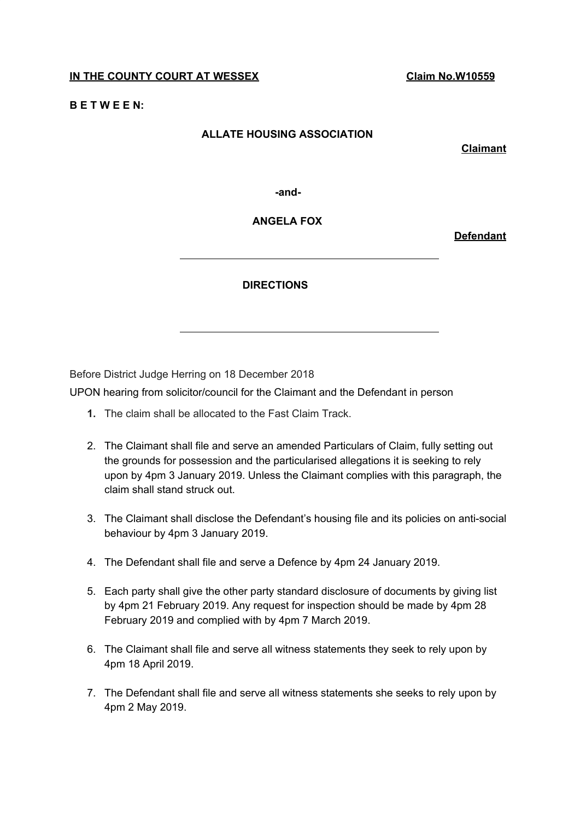## **IN THE COUNTY COURT AT WESSEX Claim No.W10559**

## **B E T W E E N:**

## **ALLATE HOUSING ASSOCIATION**

**Claimant**

**-and-**

**ANGELA FOX**

**Defendant**

## **DIRECTIONS**

Before District Judge Herring on 18 December 2018

UPON hearing from solicitor/council for the Claimant and the Defendant in person

- **1.** The claim shall be allocated to the Fast Claim Track.
- 2. The Claimant shall file and serve an amended Particulars of Claim, fully setting out the grounds for possession and the particularised allegations it is seeking to rely upon by 4pm 3 January 2019. Unless the Claimant complies with this paragraph, the claim shall stand struck out.
- 3. The Claimant shall disclose the Defendant's housing file and its policies on anti-social behaviour by 4pm 3 January 2019.
- 4. The Defendant shall file and serve a Defence by 4pm 24 January 2019.
- 5. Each party shall give the other party standard disclosure of documents by giving list by 4pm 21 February 2019. Any request for inspection should be made by 4pm 28 February 2019 and complied with by 4pm 7 March 2019.
- 6. The Claimant shall file and serve all witness statements they seek to rely upon by 4pm 18 April 2019.
- 7. The Defendant shall file and serve all witness statements she seeks to rely upon by 4pm 2 May 2019.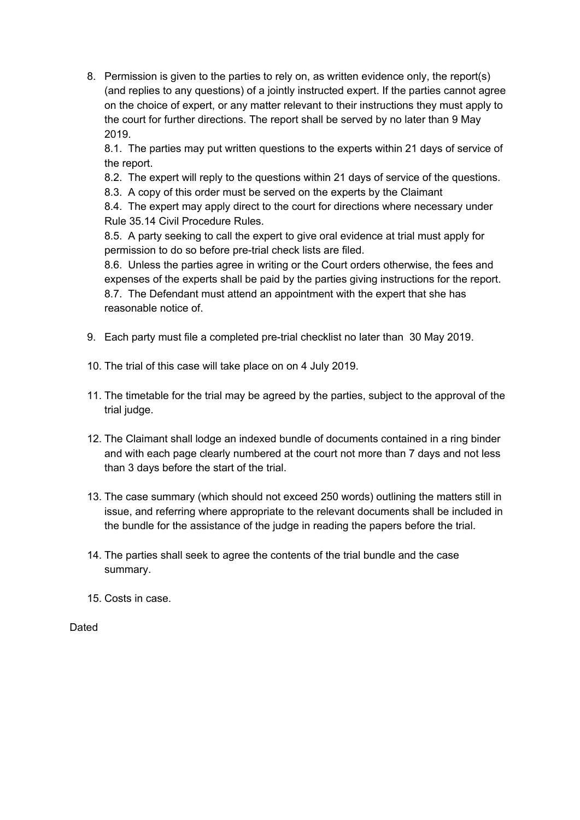8. Permission is given to the parties to rely on, as written evidence only, the report(s) (and replies to any questions) of a jointly instructed expert. If the parties cannot agree on the choice of expert, or any matter relevant to their instructions they must apply to the court for further directions. The report shall be served by no later than 9 May 2019.

8.1. The parties may put written questions to the experts within 21 days of service of the report.

8.2. The expert will reply to the questions within 21 days of service of the questions.

8.3. A copy of this order must be served on the experts by the Claimant

8.4. The expert may apply direct to the court for directions where necessary under Rule 35.14 Civil Procedure Rules.

8.5. A party seeking to call the expert to give oral evidence at trial must apply for permission to do so before pre-trial check lists are filed.

8.6. Unless the parties agree in writing or the Court orders otherwise, the fees and expenses of the experts shall be paid by the parties giving instructions for the report. 8.7. The Defendant must attend an appointment with the expert that she has reasonable notice of.

- 9. Each party must file a completed pre-trial checklist no later than 30 May 2019.
- 10. The trial of this case will take place on on 4 July 2019.
- 11. The timetable for the trial may be agreed by the parties, subject to the approval of the trial judge.
- 12. The Claimant shall lodge an indexed bundle of documents contained in a ring binder and with each page clearly numbered at the court not more than 7 days and not less than 3 days before the start of the trial.
- 13. The case summary (which should not exceed 250 words) outlining the matters still in issue, and referring where appropriate to the relevant documents shall be included in the bundle for the assistance of the judge in reading the papers before the trial.
- 14. The parties shall seek to agree the contents of the trial bundle and the case summary.
- 15. Costs in case.

**Dated**